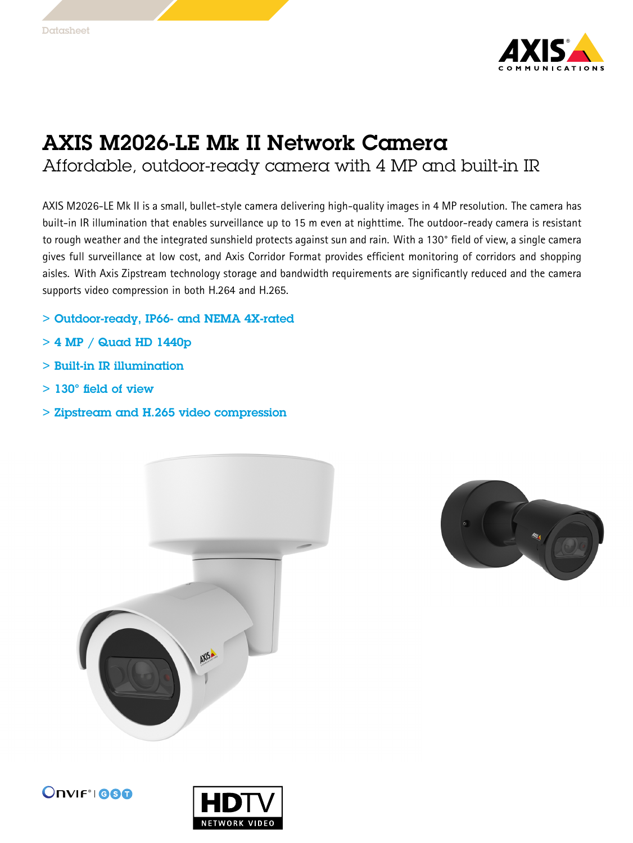

## AXIS M2026-LE Mk II Network Camera Affordable, outdoor-ready camera with 4 MP and built-in IR

AXIS M2026-LE Mk II is <sup>a</sup> small, bullet-style camera delivering high-quality images in <sup>4</sup> MP resolution. The camera has built-in IR illumination that enables surveillance up to 15 <sup>m</sup> even at nighttime. The outdoor-ready camera is resistant to rough weather and the integrated sunshield protects against sun and rain. With <sup>a</sup> 130° field of view, <sup>a</sup> single camera gives full surveillance at low cost, and Axis Corridor Format provides efficient monitoring of corridors and shopping aisles. With Axis Zipstream technology storage and bandwidth requirements are significantly reduced and the camera supports video compression in both H.264 and H.265.

- > Outdoor-ready, IP66- and NEMA 4X-rated
- $> 4$  MP  $/$  Quad HD 1440p
- > Built-in IR illumination
- > 130° field of view
- > Zipstream and H.265 video compression